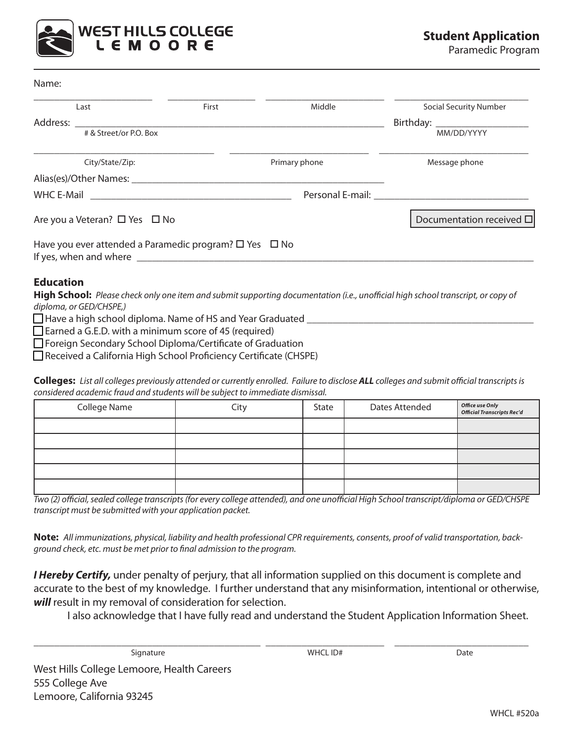

Paramedic Program

| Name |  |
|------|--|
|------|--|

|                                         | Last                                                                                                                                                                                                                                                                                                                | First |               | Middle | <b>Social Security Number</b>                                                                                                                                                                                                 |
|-----------------------------------------|---------------------------------------------------------------------------------------------------------------------------------------------------------------------------------------------------------------------------------------------------------------------------------------------------------------------|-------|---------------|--------|-------------------------------------------------------------------------------------------------------------------------------------------------------------------------------------------------------------------------------|
| Address:                                |                                                                                                                                                                                                                                                                                                                     |       |               |        |                                                                                                                                                                                                                               |
|                                         | # & Street/or P.O. Box                                                                                                                                                                                                                                                                                              |       |               |        | MM/DD/YYYY                                                                                                                                                                                                                    |
|                                         | City/State/Zip:                                                                                                                                                                                                                                                                                                     |       | Primary phone |        | Message phone                                                                                                                                                                                                                 |
|                                         | Alias(es)/Other Names:                                                                                                                                                                                                                                                                                              |       |               |        |                                                                                                                                                                                                                               |
|                                         |                                                                                                                                                                                                                                                                                                                     |       |               |        | Personal E-mail: The contract of the contract of the contract of the contract of the contract of the contract of the contract of the contract of the contract of the contract of the contract of the contract of the contract |
| Are you a Veteran? $\Box$ Yes $\Box$ No |                                                                                                                                                                                                                                                                                                                     |       |               |        | Documentation received $\square$                                                                                                                                                                                              |
|                                         | Have you ever attended a Paramedic program? $\square$ Yes $\square$ No<br>If yes, when and where <b>contained</b> where <b>contained a set of the set of the set of the set of the set of the set of the set of the set of the set of the set of the set of the set of the set of the set of the set of the set</b> |       |               |        |                                                                                                                                                                                                                               |

#### **Education**

**High School:** *Please check only one item and submit supporting documentation (i.e., unofficial high school transcript, or copy of diploma, or GED/CHSPE,)*

 $\Box$  Have a high school diploma. Name of HS and Year Graduated

 $\Box$  Earned a G.E.D. with a minimum score of 45 (required)

□ Foreign Secondary School Diploma/Certificate of Graduation

■ Received a California High School Proficiency Certificate (CHSPE)

**Colleges:** *List all colleges previously attended or currently enrolled. Failure to disclose ALL colleges and submit official transcripts is considered academic fraud and students will be subject to immediate dismissal.*

| College Name | City | State | Dates Attended | Office use Only<br>Official Transcripts Rec'd |
|--------------|------|-------|----------------|-----------------------------------------------|
|              |      |       |                |                                               |
|              |      |       |                |                                               |
|              |      |       |                |                                               |
|              |      |       |                |                                               |
|              |      |       |                |                                               |

*Two (2) official, sealed college transcripts (for every college attended), and one unofficial High School transcript/diploma or GED/CHSPE transcript must be submitted with your application packet.* 

**Note:** *All immunizations, physical, liability and health professional CPR requirements, consents, proof of valid transportation, background check, etc. must be met prior to final admission to the program.*

*I Hereby Certify,* under penalty of perjury, that all information supplied on this document is complete and accurate to the best of my knowledge. I further understand that any misinformation, intentional or otherwise, *will* result in my removal of consideration for selection.

\_\_\_\_\_\_\_\_\_\_\_\_\_\_\_\_\_\_\_\_\_\_\_\_\_\_\_\_\_\_\_\_\_\_\_\_\_\_\_\_\_\_\_\_ \_\_\_\_\_\_\_\_\_\_\_\_\_\_\_\_\_\_\_\_\_\_\_ \_\_\_\_\_\_\_\_\_\_\_\_\_\_\_\_\_\_\_\_\_\_\_\_\_\_

I also acknowledge that I have fully read and understand the Student Application Information Sheet.

Signature WHCL ID# Date

West Hills College Lemoore, Health Careers 555 College Ave Lemoore, California 93245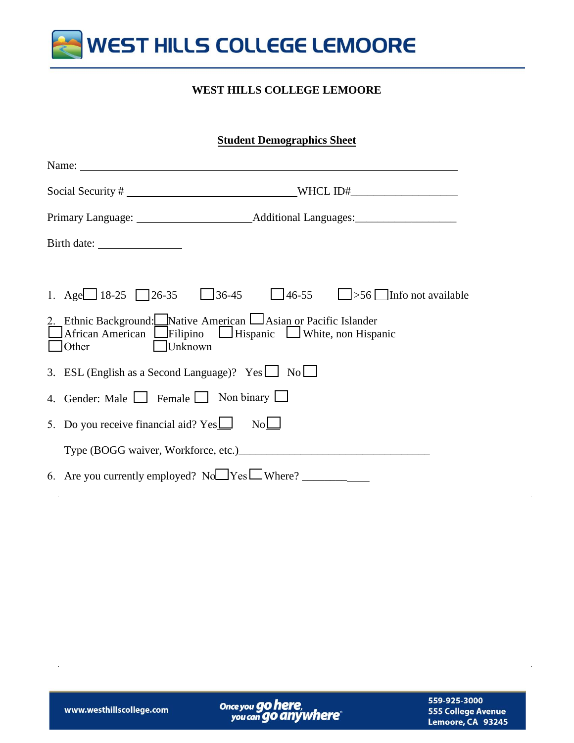

#### **WEST HILLS COLLEGE LEMOORE**

### **Student Demographics Sheet**

| Name:                                                                                                                                        |         |  |                                                              |
|----------------------------------------------------------------------------------------------------------------------------------------------|---------|--|--------------------------------------------------------------|
|                                                                                                                                              |         |  | WHCL $ID#$                                                   |
|                                                                                                                                              |         |  |                                                              |
|                                                                                                                                              |         |  |                                                              |
|                                                                                                                                              |         |  |                                                              |
|                                                                                                                                              |         |  | 1. Age 18-25 26-35 36-45 46-55 $\Box$ >56 Info not available |
| 2. Ethnic Background: Native American LAsian or Pacific Islander<br>African American Filipino Hispanic U White, non Hispanic<br>$\Box$ Other | Unknown |  |                                                              |
| 3. ESL (English as a Second Language)? Yes $\Box$ No $\Box$                                                                                  |         |  |                                                              |
| 4. Gender: Male Female Non binary                                                                                                            |         |  |                                                              |
| 5. Do you receive financial aid? $Yes \perp$ No $\perp$                                                                                      |         |  |                                                              |
|                                                                                                                                              |         |  |                                                              |
| 6. Are you currently employed? $No \rightarrow Yes \rightarrow Where$ ?                                                                      |         |  |                                                              |

Once you go here,<br>you can go anywhere